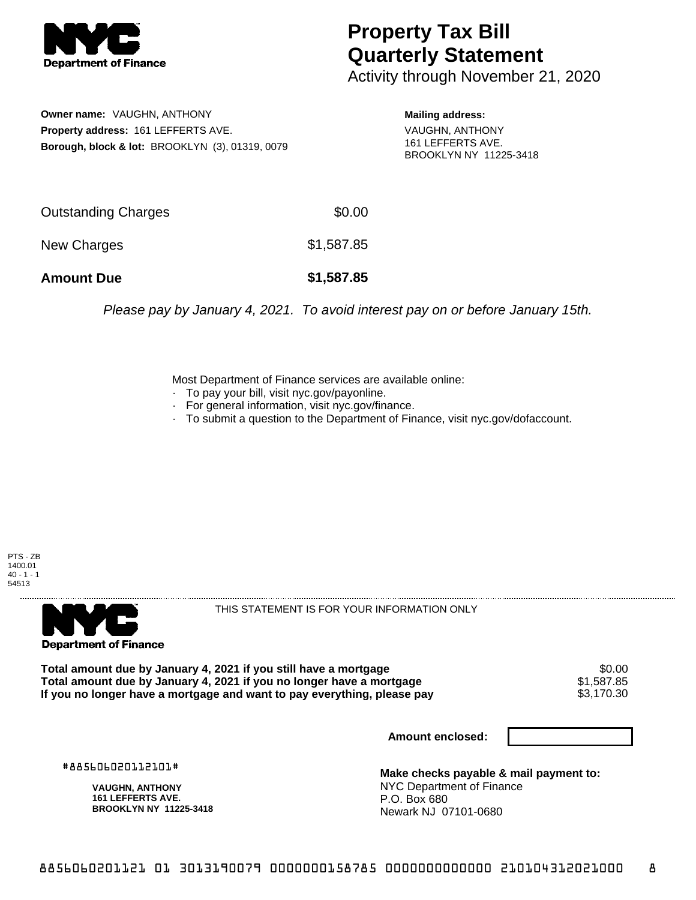

## **Property Tax Bill Quarterly Statement**

Activity through November 21, 2020

**Owner name:** VAUGHN, ANTHONY **Property address:** 161 LEFFERTS AVE. **Borough, block & lot:** BROOKLYN (3), 01319, 0079 **Mailing address:**

VAUGHN, ANTHONY 161 LEFFERTS AVE. BROOKLYN NY 11225-3418

| <b>Amount Due</b>   | \$1,587.85 |
|---------------------|------------|
| New Charges         | \$1,587.85 |
| Outstanding Charges | \$0.00     |

Please pay by January 4, 2021. To avoid interest pay on or before January 15th.

Most Department of Finance services are available online:

- · To pay your bill, visit nyc.gov/payonline.
- For general information, visit nyc.gov/finance.
- · To submit a question to the Department of Finance, visit nyc.gov/dofaccount.

PTS - ZB 1400.01  $40 - 1 - 1$ 54513



THIS STATEMENT IS FOR YOUR INFORMATION ONLY

Total amount due by January 4, 2021 if you still have a mortgage \$0.00<br>Total amount due by January 4, 2021 if you no longer have a mortgage \$1.587.85 **Total amount due by January 4, 2021 if you no longer have a mortgage**  $$1,587.85$ **<br>If you no longer have a mortgage and want to pay everything, please pay <b>show that are solution** \$3,170.30 If you no longer have a mortgage and want to pay everything, please pay

**Amount enclosed:**

#885606020112101#

**VAUGHN, ANTHONY 161 LEFFERTS AVE. BROOKLYN NY 11225-3418**

**Make checks payable & mail payment to:** NYC Department of Finance P.O. Box 680 Newark NJ 07101-0680